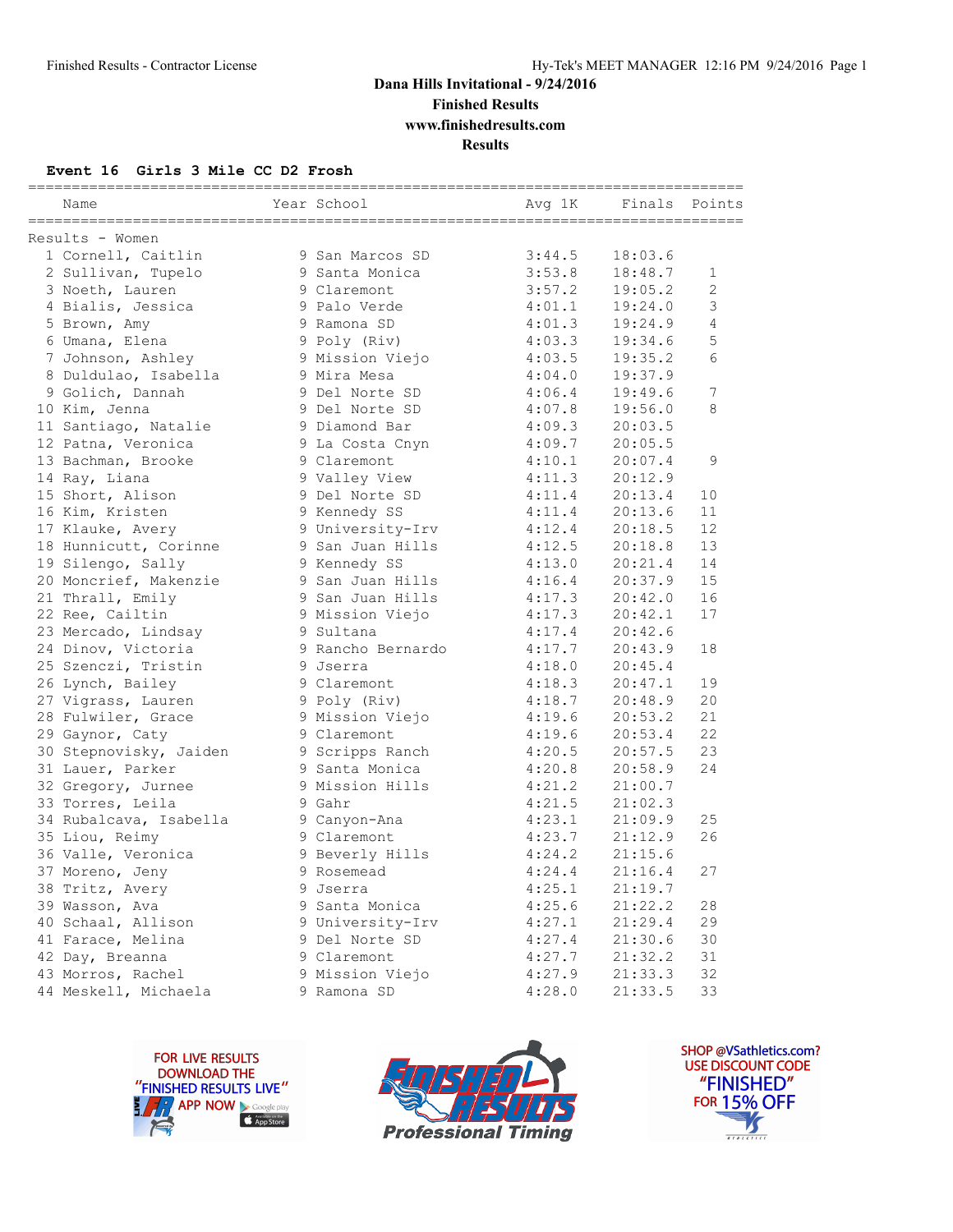## **Dana Hills Invitational - 9/24/2016 Finished Results**

**www.finishedresults.com**

**Results**

#### **Event 16 Girls 3 Mile CC D2 Frosh**

| Name                   | Year School       | ========================<br>Avg 1K |         | ==============<br>Finals Points |
|------------------------|-------------------|------------------------------------|---------|---------------------------------|
| Results - Women        |                   |                                    |         |                                 |
| 1 Cornell, Caitlin     | 9 San Marcos SD   | 3:44.5                             | 18:03.6 |                                 |
| 2 Sullivan, Tupelo     | 9 Santa Monica    | 3:53.8                             | 18:48.7 | 1                               |
| 3 Noeth, Lauren        | 9 Claremont       | 3:57.2                             | 19:05.2 | $\overline{2}$                  |
| 4 Bialis, Jessica      | 9 Palo Verde      | 4:01.1                             | 19:24.0 | 3                               |
| 5 Brown, Amy           | 9 Ramona SD       | 4:01.3                             | 19:24.9 | 4                               |
| 6 Umana, Elena         | 9 Poly (Riv)      | 4:03.3                             | 19:34.6 | 5                               |
| 7 Johnson, Ashley      | 9 Mission Viejo   | 4:03.5                             | 19:35.2 | 6                               |
| 8 Duldulao, Isabella   | 9 Mira Mesa       | 4:04.0                             | 19:37.9 |                                 |
| 9 Golich, Dannah       | 9 Del Norte SD    | 4:06.4                             | 19:49.6 | 7                               |
| 10 Kim, Jenna          | 9 Del Norte SD    | 4:07.8                             | 19:56.0 | 8                               |
| 11 Santiago, Natalie   | 9 Diamond Bar     | 4:09.3                             | 20:03.5 |                                 |
| 12 Patna, Veronica     | 9 La Costa Cnyn   | 4:09.7                             | 20:05.5 |                                 |
| 13 Bachman, Brooke     | 9 Claremont       | 4:10.1                             | 20:07.4 | 9                               |
| 14 Ray, Liana          | 9 Valley View     | 4:11.3                             | 20:12.9 |                                 |
| 15 Short, Alison       | 9 Del Norte SD    | 4:11.4                             | 20:13.4 | 10                              |
| 16 Kim, Kristen        | 9 Kennedy SS      | 4:11.4                             | 20:13.6 | 11                              |
| 17 Klauke, Avery       | 9 University-Irv  | 4:12.4                             | 20:18.5 | 12                              |
| 18 Hunnicutt, Corinne  | 9 San Juan Hills  | 4:12.5                             | 20:18.8 | 13                              |
| 19 Silengo, Sally      | 9 Kennedy SS      | 4:13.0                             | 20:21.4 | 14                              |
| 20 Moncrief, Makenzie  | 9 San Juan Hills  | 4:16.4                             | 20:37.9 | 15                              |
| 21 Thrall, Emily       | 9 San Juan Hills  | 4:17.3                             | 20:42.0 | 16                              |
| 22 Ree, Cailtin        | 9 Mission Viejo   | 4:17.3                             | 20:42.1 | 17                              |
| 23 Mercado, Lindsay    | 9 Sultana         | 4:17.4                             | 20:42.6 |                                 |
| 24 Dinov, Victoria     | 9 Rancho Bernardo | 4:17.7                             | 20:43.9 | 18                              |
| 25 Szenczi, Tristin    | 9 Jserra          | 4:18.0                             | 20:45.4 |                                 |
| 26 Lynch, Bailey       | 9 Claremont       | 4:18.3                             | 20:47.1 | 19                              |
| 27 Vigrass, Lauren     | 9 Poly (Riv)      | 4:18.7                             | 20:48.9 | 20                              |
| 28 Fulwiler, Grace     | 9 Mission Viejo   | 4:19.6                             | 20:53.2 | 21                              |
| 29 Gaynor, Caty        | 9 Claremont       | 4:19.6                             | 20:53.4 | 22                              |
| 30 Stepnovisky, Jaiden | 9 Scripps Ranch   | 4:20.5                             | 20:57.5 | 23                              |
| 31 Lauer, Parker       | 9 Santa Monica    | 4:20.8                             | 20:58.9 | 24                              |
| 32 Gregory, Jurnee     | 9 Mission Hills   | 4:21.2                             | 21:00.7 |                                 |
| 33 Torres, Leila       | 9 Gahr            | 4:21.5                             | 21:02.3 |                                 |
| 34 Rubalcava, Isabella | 9 Canyon-Ana      | 4:23.1                             | 21:09.9 | 25                              |
| 35 Liou, Reimy         | 9 Claremont       | 4:23.7                             | 21:12.9 | 26                              |
| 36 Valle, Veronica     | 9 Beverly Hills   | 4:24.2                             | 21:15.6 |                                 |
| 37 Moreno, Jeny        | 9 Rosemead        | 4:24.4                             | 21:16.4 | 27                              |
| 38 Tritz, Avery        | 9 Jserra          | 4:25.1                             | 21:19.7 |                                 |
| 39 Wasson, Ava         | 9 Santa Monica    | 4:25.6                             | 21:22.2 | 28                              |
| 40 Schaal, Allison     | 9 University-Irv  | 4:27.1                             | 21:29.4 | 29                              |
| 41 Farace, Melina      | 9 Del Norte SD    | 4:27.4                             | 21:30.6 | 30                              |
| 42 Day, Breanna        | 9 Claremont       | 4:27.7                             | 21:32.2 | 31                              |
| 43 Morros, Rachel      | 9 Mission Viejo   | 4:27.9                             | 21:33.3 | 32                              |
| 44 Meskell, Michaela   | 9 Ramona SD       | 4:28.0                             | 21:33.5 | 33                              |





SHOP @VSathletics.com? USE DISCOUNT CODE "FINISHED" **FOR 15% OFF**  $\blacktriangle$  $\frac{1}{1}$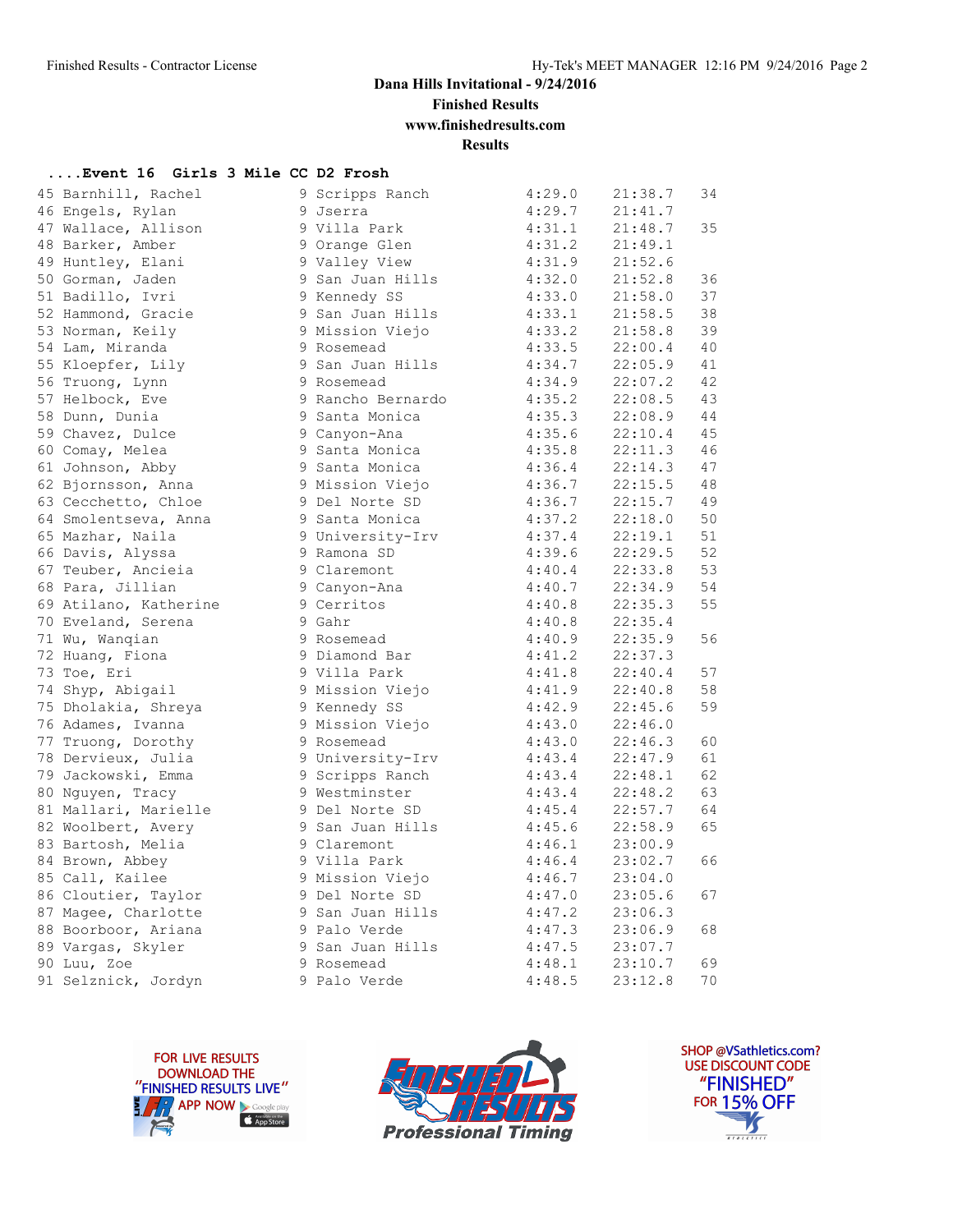**Finished Results**

**www.finishedresults.com**

**Results**

### **....Event 16 Girls 3 Mile CC D2 Frosh**

| 45 Barnhill, Rachel   | 9 Scripps Ranch   | 4:29.0 | 21:38.7 | 34 |
|-----------------------|-------------------|--------|---------|----|
| 46 Engels, Rylan      | 9 Jserra          | 4:29.7 | 21:41.7 |    |
| 47 Wallace, Allison   | 9 Villa Park      | 4:31.1 | 21:48.7 | 35 |
| 48 Barker, Amber      | 9 Orange Glen     | 4:31.2 | 21:49.1 |    |
| 49 Huntley, Elani     | 9 Valley View     | 4:31.9 | 21:52.6 |    |
| 50 Gorman, Jaden      | 9 San Juan Hills  | 4:32.0 | 21:52.8 | 36 |
| 51 Badillo, Ivri      | 9 Kennedy SS      | 4:33.0 | 21:58.0 | 37 |
| 52 Hammond, Gracie    | 9 San Juan Hills  | 4:33.1 | 21:58.5 | 38 |
| 53 Norman, Keily      | 9 Mission Viejo   | 4:33.2 | 21:58.8 | 39 |
| 54 Lam, Miranda       | 9 Rosemead        | 4:33.5 | 22:00.4 | 40 |
| 55 Kloepfer, Lily     | 9 San Juan Hills  | 4:34.7 | 22:05.9 | 41 |
| 56 Truong, Lynn       | 9 Rosemead        | 4:34.9 | 22:07.2 | 42 |
| 57 Helbock, Eve       | 9 Rancho Bernardo | 4:35.2 | 22:08.5 | 43 |
| 58 Dunn, Dunia        | 9 Santa Monica    | 4:35.3 | 22:08.9 | 44 |
| 59 Chavez, Dulce      | 9 Canyon-Ana      | 4:35.6 | 22:10.4 | 45 |
| 60 Comay, Melea       | 9 Santa Monica    | 4:35.8 | 22:11.3 | 46 |
| 61 Johnson, Abby      | 9 Santa Monica    | 4:36.4 | 22:14.3 | 47 |
| 62 Bjornsson, Anna    | 9 Mission Viejo   | 4:36.7 | 22:15.5 | 48 |
| 63 Cecchetto, Chloe   | 9 Del Norte SD    | 4:36.7 | 22:15.7 | 49 |
| 64 Smolentseva, Anna  | 9 Santa Monica    | 4:37.2 | 22:18.0 | 50 |
| 65 Mazhar, Naila      | 9 University-Irv  | 4:37.4 | 22:19.1 | 51 |
| 66 Davis, Alyssa      | 9 Ramona SD       | 4:39.6 | 22:29.5 | 52 |
| 67 Teuber, Ancieia    | 9 Claremont       | 4:40.4 | 22:33.8 | 53 |
| 68 Para, Jillian      | 9 Canyon-Ana      | 4:40.7 | 22:34.9 | 54 |
| 69 Atilano, Katherine | 9 Cerritos        | 4:40.8 | 22:35.3 | 55 |
| 70 Eveland, Serena    | 9 Gahr            | 4:40.8 | 22:35.4 |    |
| 71 Wu, Wangian        | 9 Rosemead        | 4:40.9 | 22:35.9 | 56 |
| 72 Huang, Fiona       | 9 Diamond Bar     | 4:41.2 | 22:37.3 |    |
| 73 Toe, Eri           | 9 Villa Park      | 4:41.8 | 22:40.4 | 57 |
| 74 Shyp, Abigail      | 9 Mission Viejo   | 4:41.9 | 22:40.8 | 58 |
| 75 Dholakia, Shreya   | 9 Kennedy SS      | 4:42.9 | 22:45.6 | 59 |
| 76 Adames, Ivanna     | 9 Mission Viejo   | 4:43.0 | 22:46.0 |    |
| 77 Truong, Dorothy    | 9 Rosemead        | 4:43.0 | 22:46.3 | 60 |
| 78 Dervieux, Julia    | 9 University-Irv  | 4:43.4 | 22:47.9 | 61 |
| 79 Jackowski, Emma    | 9 Scripps Ranch   | 4:43.4 | 22:48.1 | 62 |
| 80 Nguyen, Tracy      | 9 Westminster     | 4:43.4 | 22:48.2 | 63 |
| 81 Mallari, Marielle  | 9 Del Norte SD    | 4:45.4 | 22:57.7 | 64 |
| 82 Woolbert, Avery    | 9 San Juan Hills  | 4:45.6 | 22:58.9 | 65 |
| 83 Bartosh, Melia     | 9 Claremont       | 4:46.1 | 23:00.9 |    |
| 84 Brown, Abbey       | 9 Villa Park      | 4:46.4 | 23:02.7 | 66 |
| 85 Call, Kailee       | 9 Mission Viejo   | 4:46.7 | 23:04.0 |    |
| 86 Cloutier, Taylor   | 9 Del Norte SD    | 4:47.0 | 23:05.6 | 67 |
| 87 Magee, Charlotte   | 9 San Juan Hills  | 4:47.2 | 23:06.3 |    |
| 88 Boorboor, Ariana   | 9 Palo Verde      | 4:47.3 | 23:06.9 | 68 |
| 89 Vargas, Skyler     | 9 San Juan Hills  | 4:47.5 | 23:07.7 |    |
| 90 Luu, Zoe           | 9 Rosemead        | 4:48.1 | 23:10.7 | 69 |
| 91 Selznick, Jordyn   | 9 Palo Verde      | 4:48.5 | 23:12.8 | 70 |





SHOP @VSathletics.com? USE DISCOUNT CODE "FINISHED" **FOR 15% OFF**  $\frac{1}{\sqrt{2}}$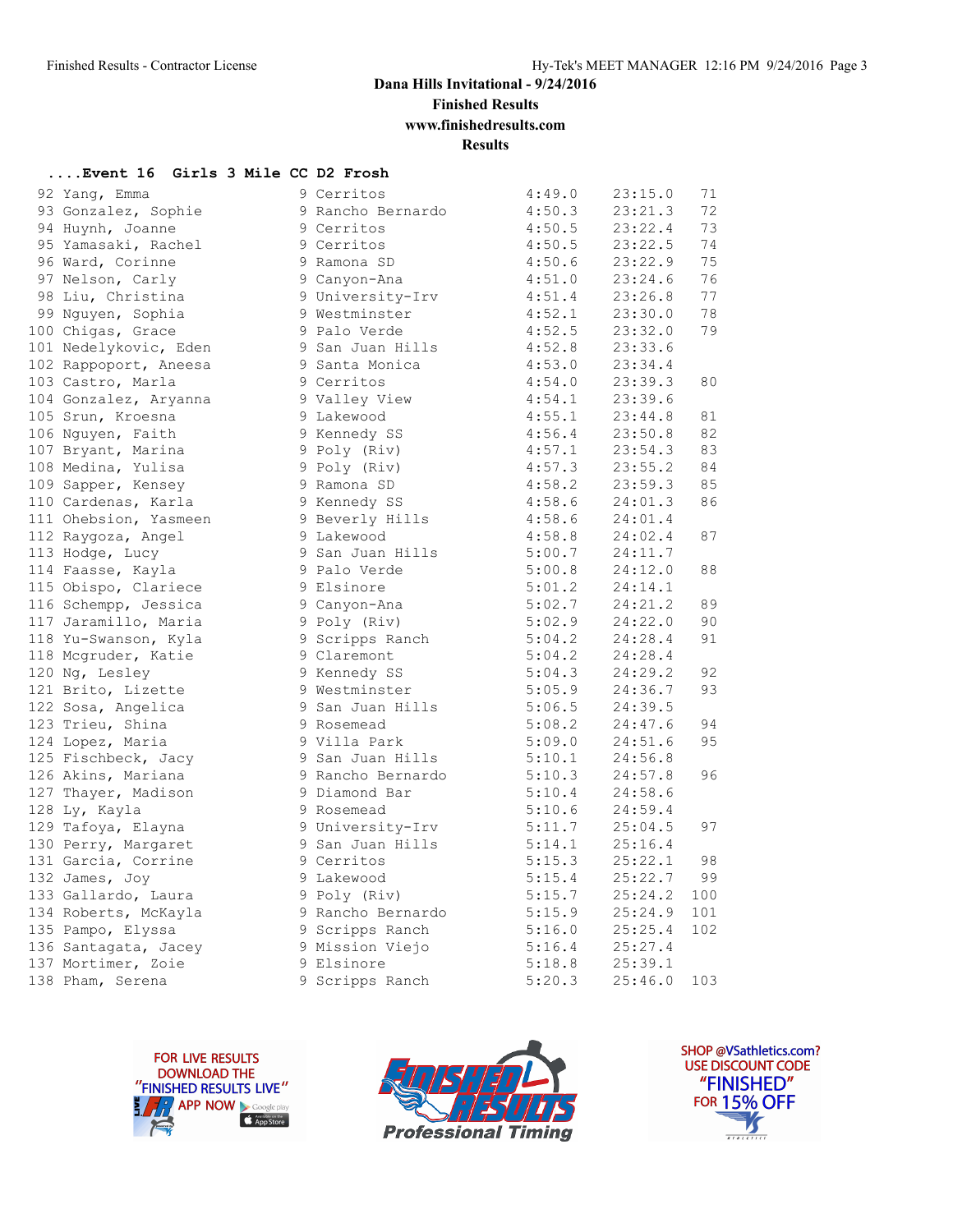**Finished Results**

**www.finishedresults.com**

**Results**

### **....Event 16 Girls 3 Mile CC D2 Frosh**

| 92 Yang, Emma                              | 9 Cerritos             | 4:49.0               | 23:15.0 | 71  |
|--------------------------------------------|------------------------|----------------------|---------|-----|
| 93 Gonzalez, Sophie                        | 9 Rancho Bernardo      | 4:50.3               | 23:21.3 | 72  |
| 94 Huynh, Joanne                           | 9 Cerritos             | 4:50.5               | 23:22.4 | 73  |
| 95 Yamasaki, Rachel                        | 9 Cerritos             | 4:50.5               | 23:22.5 | 74  |
| 96 Ward, Corinne                           | 9 Ramona SD            | 4:50.6               | 23:22.9 | 75  |
| 97 Nelson, Carly                           | 9 Canyon-Ana           | 4:51.0               | 23:24.6 | 76  |
| 98 Liu, Christina                          | 9 University-Irv       | 4:51.4               | 23:26.8 | 77  |
| 99 Nguyen, Sophia                          | 9 Westminster          | 4:52.1               | 23:30.0 | 78  |
| 100 Chigas, Grace                          | 9 Palo Verde           | 4:52.5               | 23:32.0 | 79  |
| 101 Nedelykovic, Eden                      | 9 San Juan Hills       | 4:52.8               | 23:33.6 |     |
| 102 Rappoport, Aneesa                      | 9 Santa Monica         | 4:53.0               | 23:34.4 |     |
| 103 Castro, Marla                          | 9 Cerritos             | 4:54.0               | 23:39.3 | 80  |
| 104 Gonzalez, Aryanna                      | 9 Valley View          | 4:54.1               | 23:39.6 |     |
| 105 Srun, Kroesna                          | 9 Lakewood             | 4:55.1               | 23:44.8 | 81  |
| 106 Nguyen, Faith                          | 9 Kennedy SS           | 4:56.4               | 23:50.8 | 82  |
| 107 Bryant, Marina                         | 9 Poly (Riv)           | 4:57.1               | 23:54.3 | 83  |
| 108 Medina, Yulisa                         | 9 Poly (Riv)           | 4:57.3               | 23:55.2 | 84  |
| 109 Sapper, Kensey                         | 9 Ramona SD            | 4:58.2               | 23:59.3 | 85  |
| 110 Cardenas, Karla                        | 9 Kennedy SS           | 4:58.6               | 24:01.3 | 86  |
| 111 Ohebsion, Yasmeen                      | 9 Beverly Hills        | 4:58.6               | 24:01.4 |     |
| 112 Raygoza, Angel                         | 9 Lakewood             | 4:58.8               | 24:02.4 | 87  |
| 113 Hodge, Lucy                            | 9 San Juan Hills       | 5:00.7               | 24:11.7 |     |
| 114 Faasse, Kayla                          | 9 Palo Verde           | 5:00.8               | 24:12.0 | 88  |
| 115 Obispo, Clariece                       | 9 Elsinore             | 5:01.2               | 24:14.1 |     |
| 116 Schempp, Jessica                       | 9 Canyon-Ana           |                      | 24:21.2 | 89  |
| 117 Jaramillo, Maria                       | 9 Poly (Riv)           | $5:02.7$<br>$5:02.9$ | 24:22.0 | 90  |
| 118 Yu-Swanson, Kyla                       | 9 Scripps Ranch 5:04.2 |                      | 24:28.4 | 91  |
| 118 Mcgruder, Katie                        | 9 Claremont            | 5:04.2               | 24:28.4 |     |
| 120 Ng, Lesley                             | 9 Kennedy SS           | 5:04.3               | 24:29.2 | 92  |
| 121 Brito, Lizette                         | 9 Westminster          |                      | 24:36.7 | 93  |
| 122 Sosa, Angelica                         | 9 San Juan Hills       | $5:05.9$<br>$5:06.5$ | 24:39.5 |     |
| 123 Trieu, Shina                           | 9 Rosemead             | 5:08.2               | 24:47.6 | 94  |
| 124 Lopez, Maria                           | 9 Villa Park           | 5:09.0               | 24:51.6 | 95  |
| 125 Fischbeck, Jacy                        | 9 San Juan Hills       | 5:10.1               | 24:56.8 |     |
| 126 Akins, Mariana                         | 9 Rancho Bernardo      | 5:10.3               | 24:57.8 | 96  |
| 127 Thayer, Madison                        | 9 Diamond Bar          | 5:10.4               | 24:58.6 |     |
| 128 Ly, Kayla                              | 9 Rosemead             | 5:10.6               | 24:59.4 |     |
| 129 Tafoya, Elayna                         | 9 University-Irv       | 5:11.7               | 25:04.5 | 97  |
| 130 Perry, Margaret                        | 9 San Juan Hills       | 5:14.1               | 25:16.4 |     |
| 131 Garcia, Corrine                        | 9 Cerritos             | 5:15.3               | 25:22.1 | 98  |
| 132 James, Joy                             | 9 Lakewood             | 5:15.4               | 25:22.7 | 99  |
| 133 Gallardo, Laura                        | 9 Poly (Riv)           | 5:15.7               | 25:24.2 | 100 |
| 134 Roberts, McKayla                       | 9 Rancho Bernardo      | 5:15.9               | 25:24.9 | 101 |
| 135 Pampo, Elyssa                          | 9 Scripps Ranch        | 5:16.0               | 25:25.4 | 102 |
|                                            | 9 Mission Viejo        |                      | 25:27.4 |     |
| 136 Santagata, Jacey<br>137 Mortimer, Zoie | 9 Elsinore             | $5:16.4$<br>$5:18.8$ | 25:39.1 |     |
| 138 Pham, Serena                           | 9 Scripps Ranch        | 5:20.3               | 25:46.0 | 103 |
|                                            |                        |                      |         |     |





SHOP @VSathletics.com? **USE DISCOUNT CODE** "FINISHED" **FOR 15% OFF** IS  $\frac{1}{\sqrt{181411111}}$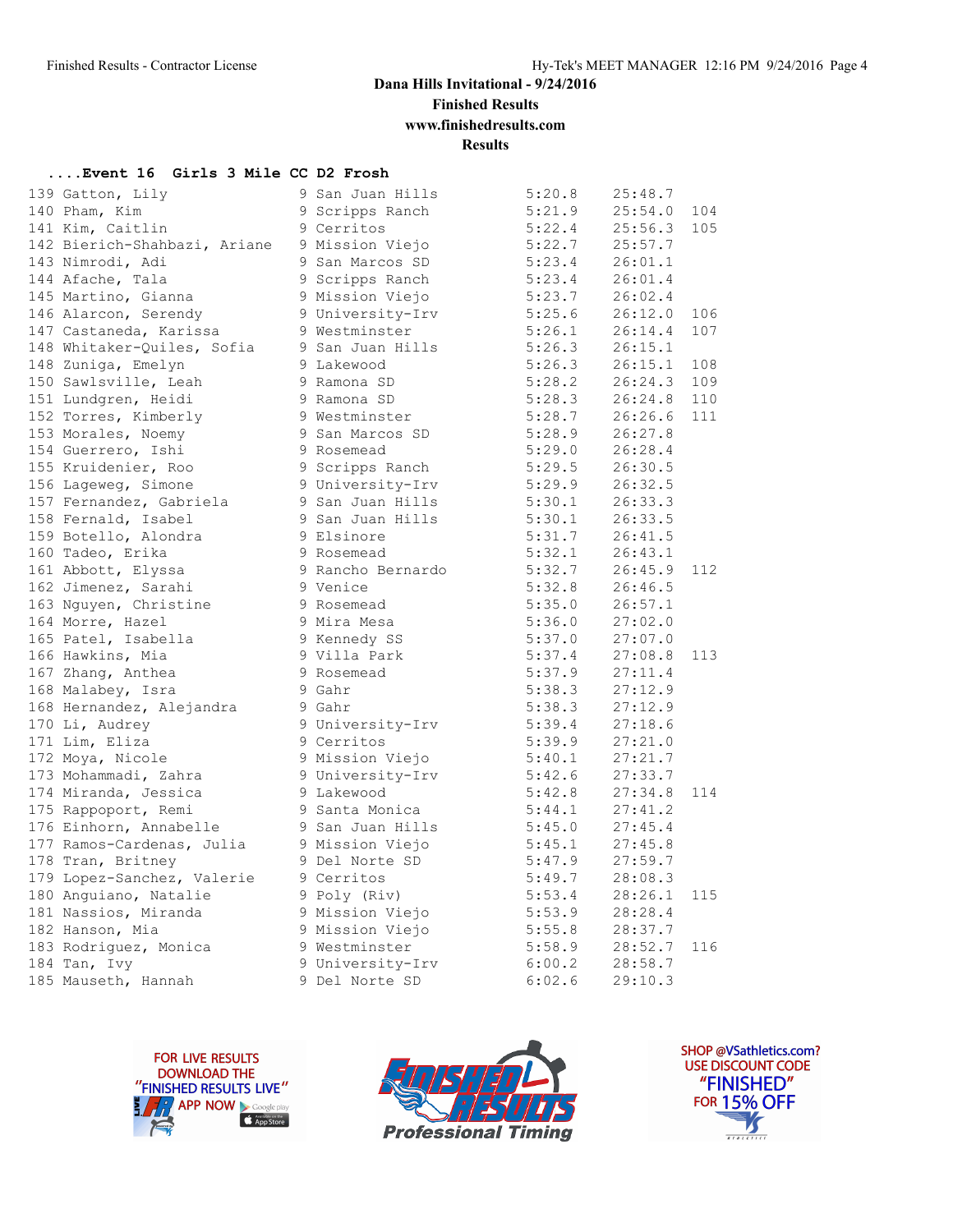**Finished Results**

**www.finishedresults.com**

**Results**

### **....Event 16 Girls 3 Mile CC D2 Frosh**

| 139 Gatton, Lily          |                                                                                                                                                                                                                 | 5:20.8                                                                                                                                                                                                                                                                                                                                                                                                                                                                                                                                                                                                                                                                                                                                                                                                                                                                                                  |                                                                                                                                                                                                                                                                                                                        |                   |
|---------------------------|-----------------------------------------------------------------------------------------------------------------------------------------------------------------------------------------------------------------|---------------------------------------------------------------------------------------------------------------------------------------------------------------------------------------------------------------------------------------------------------------------------------------------------------------------------------------------------------------------------------------------------------------------------------------------------------------------------------------------------------------------------------------------------------------------------------------------------------------------------------------------------------------------------------------------------------------------------------------------------------------------------------------------------------------------------------------------------------------------------------------------------------|------------------------------------------------------------------------------------------------------------------------------------------------------------------------------------------------------------------------------------------------------------------------------------------------------------------------|-------------------|
| 140 Pham, Kim             |                                                                                                                                                                                                                 |                                                                                                                                                                                                                                                                                                                                                                                                                                                                                                                                                                                                                                                                                                                                                                                                                                                                                                         | 25:54.0                                                                                                                                                                                                                                                                                                                | 104               |
|                           |                                                                                                                                                                                                                 |                                                                                                                                                                                                                                                                                                                                                                                                                                                                                                                                                                                                                                                                                                                                                                                                                                                                                                         | 25:56.3                                                                                                                                                                                                                                                                                                                | 105               |
|                           |                                                                                                                                                                                                                 |                                                                                                                                                                                                                                                                                                                                                                                                                                                                                                                                                                                                                                                                                                                                                                                                                                                                                                         | 25:57.7                                                                                                                                                                                                                                                                                                                |                   |
|                           |                                                                                                                                                                                                                 |                                                                                                                                                                                                                                                                                                                                                                                                                                                                                                                                                                                                                                                                                                                                                                                                                                                                                                         | 26:01.1                                                                                                                                                                                                                                                                                                                |                   |
| 144 Afache, Tala          |                                                                                                                                                                                                                 |                                                                                                                                                                                                                                                                                                                                                                                                                                                                                                                                                                                                                                                                                                                                                                                                                                                                                                         | 26:01.4                                                                                                                                                                                                                                                                                                                |                   |
|                           |                                                                                                                                                                                                                 |                                                                                                                                                                                                                                                                                                                                                                                                                                                                                                                                                                                                                                                                                                                                                                                                                                                                                                         | 26:02.4                                                                                                                                                                                                                                                                                                                |                   |
| 146 Alarcon, Serendy      |                                                                                                                                                                                                                 |                                                                                                                                                                                                                                                                                                                                                                                                                                                                                                                                                                                                                                                                                                                                                                                                                                                                                                         | 26:12.0                                                                                                                                                                                                                                                                                                                | 106               |
| 147 Castaneda, Karissa    |                                                                                                                                                                                                                 |                                                                                                                                                                                                                                                                                                                                                                                                                                                                                                                                                                                                                                                                                                                                                                                                                                                                                                         | 26:14.4                                                                                                                                                                                                                                                                                                                | 107               |
|                           |                                                                                                                                                                                                                 | 5:26.3                                                                                                                                                                                                                                                                                                                                                                                                                                                                                                                                                                                                                                                                                                                                                                                                                                                                                                  | 26:15.1                                                                                                                                                                                                                                                                                                                |                   |
|                           |                                                                                                                                                                                                                 |                                                                                                                                                                                                                                                                                                                                                                                                                                                                                                                                                                                                                                                                                                                                                                                                                                                                                                         | 26:15.1                                                                                                                                                                                                                                                                                                                | 108               |
| 150 Sawlsville, Leah      |                                                                                                                                                                                                                 | 5:28.2                                                                                                                                                                                                                                                                                                                                                                                                                                                                                                                                                                                                                                                                                                                                                                                                                                                                                                  | 26:24.3                                                                                                                                                                                                                                                                                                                | 109               |
| 151 Lundgren, Heidi       |                                                                                                                                                                                                                 |                                                                                                                                                                                                                                                                                                                                                                                                                                                                                                                                                                                                                                                                                                                                                                                                                                                                                                         | 26:24.8                                                                                                                                                                                                                                                                                                                | 110               |
|                           |                                                                                                                                                                                                                 |                                                                                                                                                                                                                                                                                                                                                                                                                                                                                                                                                                                                                                                                                                                                                                                                                                                                                                         | 26:26.6                                                                                                                                                                                                                                                                                                                | 111               |
|                           |                                                                                                                                                                                                                 |                                                                                                                                                                                                                                                                                                                                                                                                                                                                                                                                                                                                                                                                                                                                                                                                                                                                                                         | 26:27.8                                                                                                                                                                                                                                                                                                                |                   |
| 154 Guerrero, Ishi        |                                                                                                                                                                                                                 |                                                                                                                                                                                                                                                                                                                                                                                                                                                                                                                                                                                                                                                                                                                                                                                                                                                                                                         | 26:28.4                                                                                                                                                                                                                                                                                                                |                   |
| 155 Kruidenier, Roo       |                                                                                                                                                                                                                 |                                                                                                                                                                                                                                                                                                                                                                                                                                                                                                                                                                                                                                                                                                                                                                                                                                                                                                         | 26:30.5                                                                                                                                                                                                                                                                                                                |                   |
|                           |                                                                                                                                                                                                                 |                                                                                                                                                                                                                                                                                                                                                                                                                                                                                                                                                                                                                                                                                                                                                                                                                                                                                                         | 26:32.5                                                                                                                                                                                                                                                                                                                |                   |
|                           |                                                                                                                                                                                                                 |                                                                                                                                                                                                                                                                                                                                                                                                                                                                                                                                                                                                                                                                                                                                                                                                                                                                                                         | 26:33.3                                                                                                                                                                                                                                                                                                                |                   |
| 158 Fernald, Isabel       |                                                                                                                                                                                                                 | 5:30.1                                                                                                                                                                                                                                                                                                                                                                                                                                                                                                                                                                                                                                                                                                                                                                                                                                                                                                  | 26:33.5                                                                                                                                                                                                                                                                                                                |                   |
| 159 Botello, Alondra      |                                                                                                                                                                                                                 |                                                                                                                                                                                                                                                                                                                                                                                                                                                                                                                                                                                                                                                                                                                                                                                                                                                                                                         | 26:41.5                                                                                                                                                                                                                                                                                                                |                   |
| 160 Tadeo, Erika          |                                                                                                                                                                                                                 | 5:32.1                                                                                                                                                                                                                                                                                                                                                                                                                                                                                                                                                                                                                                                                                                                                                                                                                                                                                                  | 26:43.1                                                                                                                                                                                                                                                                                                                |                   |
| 161 Abbott, Elyssa        |                                                                                                                                                                                                                 |                                                                                                                                                                                                                                                                                                                                                                                                                                                                                                                                                                                                                                                                                                                                                                                                                                                                                                         | 26:45.9                                                                                                                                                                                                                                                                                                                | 112               |
| 162 Jimenez, Sarahi       |                                                                                                                                                                                                                 |                                                                                                                                                                                                                                                                                                                                                                                                                                                                                                                                                                                                                                                                                                                                                                                                                                                                                                         | 26:46.5                                                                                                                                                                                                                                                                                                                |                   |
| 163 Nguyen, Christine     |                                                                                                                                                                                                                 | 5:35.0                                                                                                                                                                                                                                                                                                                                                                                                                                                                                                                                                                                                                                                                                                                                                                                                                                                                                                  | 26:57.1                                                                                                                                                                                                                                                                                                                |                   |
| 164 Morre, Hazel          |                                                                                                                                                                                                                 |                                                                                                                                                                                                                                                                                                                                                                                                                                                                                                                                                                                                                                                                                                                                                                                                                                                                                                         | 27:02.0                                                                                                                                                                                                                                                                                                                |                   |
| 165 Patel, Isabella       |                                                                                                                                                                                                                 |                                                                                                                                                                                                                                                                                                                                                                                                                                                                                                                                                                                                                                                                                                                                                                                                                                                                                                         | 27:07.0                                                                                                                                                                                                                                                                                                                |                   |
| 166 Hawkins, Mia          |                                                                                                                                                                                                                 | 5:37.4                                                                                                                                                                                                                                                                                                                                                                                                                                                                                                                                                                                                                                                                                                                                                                                                                                                                                                  | 27:08.8                                                                                                                                                                                                                                                                                                                | 113               |
| 167 Zhang, Anthea         |                                                                                                                                                                                                                 |                                                                                                                                                                                                                                                                                                                                                                                                                                                                                                                                                                                                                                                                                                                                                                                                                                                                                                         | 27:11.4                                                                                                                                                                                                                                                                                                                |                   |
| 168 Malabey, Isra         |                                                                                                                                                                                                                 | 5:38.3                                                                                                                                                                                                                                                                                                                                                                                                                                                                                                                                                                                                                                                                                                                                                                                                                                                                                                  | 27:12.9                                                                                                                                                                                                                                                                                                                |                   |
| 168 Hernandez, Alejandra  |                                                                                                                                                                                                                 |                                                                                                                                                                                                                                                                                                                                                                                                                                                                                                                                                                                                                                                                                                                                                                                                                                                                                                         | 27:12.9                                                                                                                                                                                                                                                                                                                |                   |
| 170 Li, Audrey            |                                                                                                                                                                                                                 | 5:39.4                                                                                                                                                                                                                                                                                                                                                                                                                                                                                                                                                                                                                                                                                                                                                                                                                                                                                                  | 27:18.6                                                                                                                                                                                                                                                                                                                |                   |
| 171 Lim, Eliza            |                                                                                                                                                                                                                 |                                                                                                                                                                                                                                                                                                                                                                                                                                                                                                                                                                                                                                                                                                                                                                                                                                                                                                         | 27:21.0                                                                                                                                                                                                                                                                                                                |                   |
| 172 Moya, Nicole          |                                                                                                                                                                                                                 | 5:40.1                                                                                                                                                                                                                                                                                                                                                                                                                                                                                                                                                                                                                                                                                                                                                                                                                                                                                                  | 27:21.7                                                                                                                                                                                                                                                                                                                |                   |
| 173 Mohammadi, Zahra      |                                                                                                                                                                                                                 | 5:42.6                                                                                                                                                                                                                                                                                                                                                                                                                                                                                                                                                                                                                                                                                                                                                                                                                                                                                                  | 27:33.7                                                                                                                                                                                                                                                                                                                |                   |
| 174 Miranda, Jessica      |                                                                                                                                                                                                                 |                                                                                                                                                                                                                                                                                                                                                                                                                                                                                                                                                                                                                                                                                                                                                                                                                                                                                                         | 27:34.8                                                                                                                                                                                                                                                                                                                | 114               |
| 175 Rappoport, Remi       |                                                                                                                                                                                                                 | 5:44.1                                                                                                                                                                                                                                                                                                                                                                                                                                                                                                                                                                                                                                                                                                                                                                                                                                                                                                  | 27:41.2                                                                                                                                                                                                                                                                                                                |                   |
| 176 Einhorn, Annabelle    |                                                                                                                                                                                                                 |                                                                                                                                                                                                                                                                                                                                                                                                                                                                                                                                                                                                                                                                                                                                                                                                                                                                                                         | 27:45.4                                                                                                                                                                                                                                                                                                                |                   |
| 177 Ramos-Cardenas, Julia |                                                                                                                                                                                                                 |                                                                                                                                                                                                                                                                                                                                                                                                                                                                                                                                                                                                                                                                                                                                                                                                                                                                                                         | 27:45.8                                                                                                                                                                                                                                                                                                                |                   |
| 178 Tran, Britney         |                                                                                                                                                                                                                 | 5:47.9                                                                                                                                                                                                                                                                                                                                                                                                                                                                                                                                                                                                                                                                                                                                                                                                                                                                                                  | 27:59.7                                                                                                                                                                                                                                                                                                                |                   |
|                           |                                                                                                                                                                                                                 |                                                                                                                                                                                                                                                                                                                                                                                                                                                                                                                                                                                                                                                                                                                                                                                                                                                                                                         | 28:08.3                                                                                                                                                                                                                                                                                                                |                   |
| 180 Anguiano, Natalie     |                                                                                                                                                                                                                 | 5:53.4                                                                                                                                                                                                                                                                                                                                                                                                                                                                                                                                                                                                                                                                                                                                                                                                                                                                                                  | 28:26.1                                                                                                                                                                                                                                                                                                                | 115               |
| 181 Nassios, Miranda      |                                                                                                                                                                                                                 |                                                                                                                                                                                                                                                                                                                                                                                                                                                                                                                                                                                                                                                                                                                                                                                                                                                                                                         | 28:28.4                                                                                                                                                                                                                                                                                                                |                   |
| 182 Hanson, Mia           |                                                                                                                                                                                                                 |                                                                                                                                                                                                                                                                                                                                                                                                                                                                                                                                                                                                                                                                                                                                                                                                                                                                                                         | 28:37.7                                                                                                                                                                                                                                                                                                                |                   |
| 183 Rodriquez, Monica     |                                                                                                                                                                                                                 |                                                                                                                                                                                                                                                                                                                                                                                                                                                                                                                                                                                                                                                                                                                                                                                                                                                                                                         | 28:52.7                                                                                                                                                                                                                                                                                                                | 116               |
| 184 Tan, Ivy              |                                                                                                                                                                                                                 |                                                                                                                                                                                                                                                                                                                                                                                                                                                                                                                                                                                                                                                                                                                                                                                                                                                                                                         | 28:58.7                                                                                                                                                                                                                                                                                                                |                   |
| 185 Mauseth, Hannah       |                                                                                                                                                                                                                 | 6:02.6                                                                                                                                                                                                                                                                                                                                                                                                                                                                                                                                                                                                                                                                                                                                                                                                                                                                                                  | 29:10.3                                                                                                                                                                                                                                                                                                                |                   |
|                           | 141 Kim, Caitlin<br>143 Nimrodi, Adi<br>145 Martino, Gianna<br>148 Whitaker-Quiles, Sofia<br>148 Zuniga, Emelyn<br>152 Torres, Kimberly<br>153 Morales, Noemy<br>156 Lageweg, Simone<br>157 Fernandez, Gabriela | 9 San Juan Hills<br>9 Scripps Ranch<br>9 Cerritos<br>142 Bierich-Shahbazi, Ariane 9 Mission Viejo<br>9 San Marcos SD<br>9 Scripps Ranch<br>9 Mission Viejo<br>9 Mission Viejo<br>9 University-Irv<br>9 Westminster<br>9 San Juan Hills<br>9 Lakewood<br>9 Ramona SD<br>9 Ramona SD<br>9 Westminster<br>9 San Marcos SD<br>9 Rosemead<br>9 Scripps Ranch<br>9 University-Irv<br>9 San Juan Hills<br>9 San Juan Hills<br>9 Elsinore<br>9 Rosemead<br>9 Rancho Bernardo<br>9 Venice<br>9 Rosemead<br>9 Mira Mesa<br>9 Kennedy SS<br>9 Villa Park<br>9 Rosemead<br>9 Gahr<br>9 Gahr<br>9 University-Irv<br>9 Cerritos<br>9 Mission Viejo<br>9 University-Irv<br>9 Lakewood<br>9 Santa Monica<br>9 San Juan Hills<br>9 Mission Viejo<br>9 Del Norte SD<br>179 Lopez-Sanchez, Valerie 9 Cerritos<br>9 Poly (Riv)<br>9 Mission Viejo<br>9 Mission Viejo<br>9 Westminster<br>9 University-Irv<br>9 Del Norte SD | $5:21.9$<br>$5:22.4$<br>5:22.7<br>5:23.4<br>5:23.4<br>5:23.7<br>5:25.6<br>5:26.1<br>5:26.3<br>5:28.3<br>5:28.7<br>5:28.9<br>5:29.0<br>5:29.5<br>5:29.9<br>5:30.1<br>5:31.7<br>5:32.7<br>5:32.8<br>5:36.0<br>5:37.0<br>5:37.9<br>5:38.3<br>5:39.9<br>5:42.8<br>5:45.0<br>5:45.1<br>5:49.7<br>5:53.9<br>5:55.8<br>5:58.9 | 25:48.7<br>6:00.2 |





SHOP @VSathletics.com? USE DISCOUNT CODE "FINISHED" **FOR 15% OFF** IS  $\frac{1}{1}$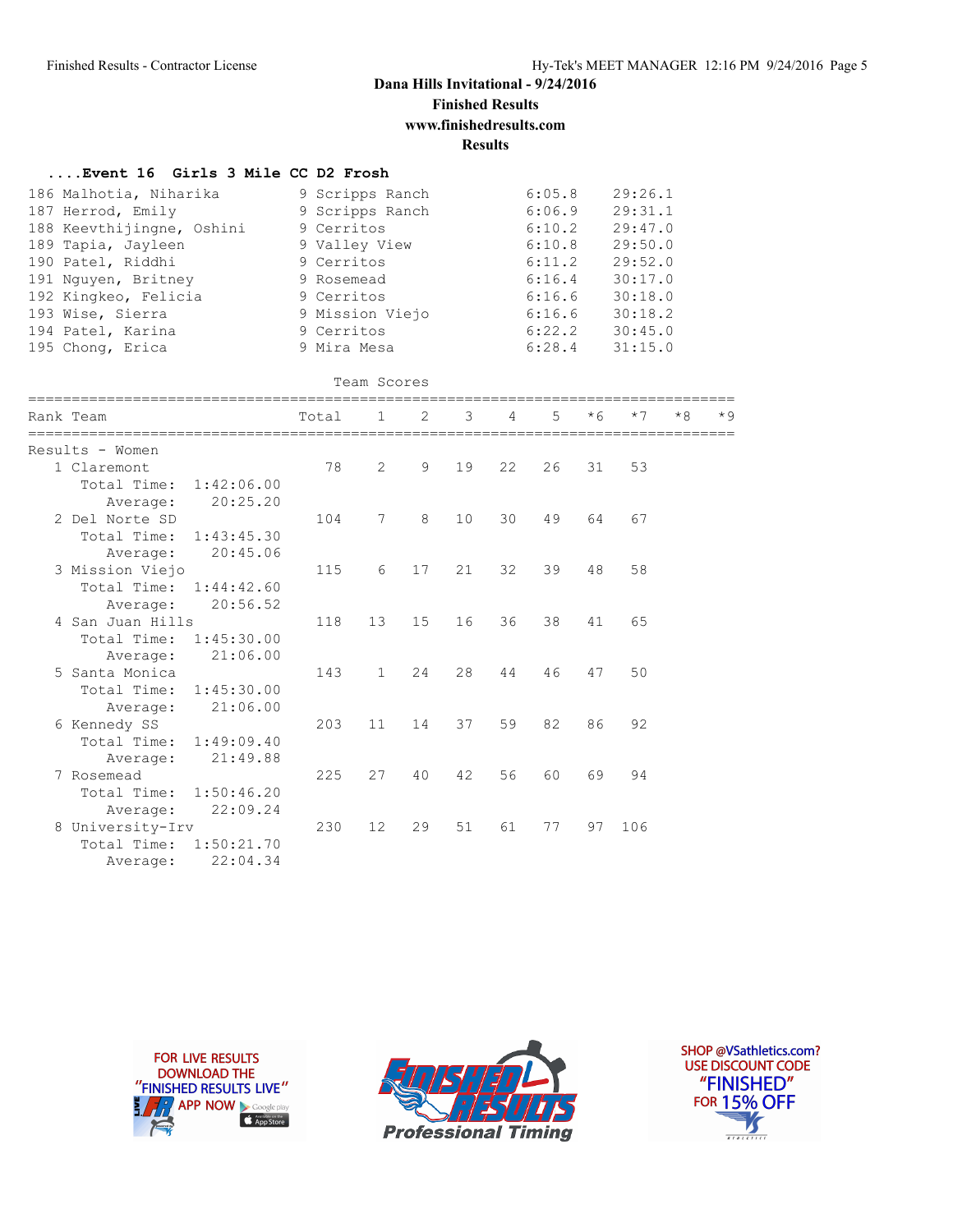## **Dana Hills Invitational - 9/24/2016 Finished Results**

**www.finishedresults.com**

**Results**

| Event 16 Girls 3 Mile CC D2 Frosh                                                                                                                                                                                               |                                                                                                                                                             |                   |                |    |    |                                                                                                  |      |                                                                                                            |      |           |
|---------------------------------------------------------------------------------------------------------------------------------------------------------------------------------------------------------------------------------|-------------------------------------------------------------------------------------------------------------------------------------------------------------|-------------------|----------------|----|----|--------------------------------------------------------------------------------------------------|------|------------------------------------------------------------------------------------------------------------|------|-----------|
| 186 Malhotia, Niharika<br>187 Herrod, Emily<br>188 Keevthijingne, Oshini<br>189 Tapia, Jayleen<br>190 Patel, Riddhi<br>191 Nguyen, Britney<br>192 Kingkeo, Felicia<br>193 Wise, Sierra<br>194 Patel, Karina<br>195 Chong, Erica | 9 Scripps Ranch<br>9 Scripps Ranch<br>9 Cerritos<br>9 Valley View<br>9 Cerritos<br>9 Rosemead<br>9 Cerritos<br>9 Mission Viejo<br>9 Cerritos<br>9 Mira Mesa |                   |                |    |    | 6:05.8<br>6:06.9<br>6:10.2<br>6:10.8<br>6:11.2<br>6:16.4<br>6:16.6<br>6:16.6<br>6:22.2<br>6:28.4 |      | 29:26.1<br>29:31.1<br>29:47.0<br>29:50.0<br>29:52.0<br>30:17.0<br>30:18.0<br>30:18.2<br>30:45.0<br>31:15.0 |      |           |
|                                                                                                                                                                                                                                 |                                                                                                                                                             | Team Scores       |                |    |    |                                                                                                  |      |                                                                                                            |      |           |
| Rank Team                                                                                                                                                                                                                       | Total                                                                                                                                                       | $\mathbf{1}$      | $\mathfrak{D}$ | 3  | 4  | 5                                                                                                | $*6$ | $*7$                                                                                                       | $*8$ | $\star$ Q |
| Results - Women<br>1 Claremont<br>1:42:06.00<br>Total Time:<br>20:25.20<br>Average:                                                                                                                                             | 78                                                                                                                                                          | $\overline{2}$    | 9              | 19 | 22 | 26                                                                                               | 31   | 53                                                                                                         |      |           |
| 2 Del Norte SD<br>Total Time:<br>1:43:45.30<br>20:45.06<br>Average:                                                                                                                                                             | 104                                                                                                                                                         | 7                 | 8              | 10 | 30 | 49                                                                                               | 64   | 67                                                                                                         |      |           |
| 3 Mission Viejo<br>Total Time:<br>1:44:42.60<br>20:56.52<br>Average:                                                                                                                                                            | 115                                                                                                                                                         | 6                 | 17             | 21 | 32 | 39                                                                                               | 48   | 58                                                                                                         |      |           |
| 4 San Juan Hills<br>Total Time:<br>1:45:30.00<br>21:06.00<br>Average:                                                                                                                                                           | 118                                                                                                                                                         | 13                | 15             | 16 | 36 | 38                                                                                               | 41   | 65                                                                                                         |      |           |
| 5 Santa Monica<br>Total Time:<br>1:45:30.00<br>21:06.00<br>Average:                                                                                                                                                             | 143                                                                                                                                                         | $\mathbf{1}$      | 24             | 28 | 44 | 46                                                                                               | 47   | 50                                                                                                         |      |           |
| 6 Kennedy SS<br>Total Time:<br>1:49:09.40<br>21:49.88<br>Average:                                                                                                                                                               | 203                                                                                                                                                         | 11                | 14             | 37 | 59 | 82                                                                                               | 86   | 92                                                                                                         |      |           |
| 7 Rosemead<br>Total Time:<br>1:50:46.20<br>22:09.24<br>Average:                                                                                                                                                                 | 225                                                                                                                                                         | 27                | 40             | 42 | 56 | 60                                                                                               | 69   | 94                                                                                                         |      |           |
| 8 University-Irv<br>Total Time:<br>1:50:21.70<br>22:04.34<br>Average:                                                                                                                                                           | 230                                                                                                                                                         | $12 \overline{ }$ | 29             | 51 | 61 | 77                                                                                               | 97   | 106                                                                                                        |      |           |





SHOP @VSathletics.com? USE DISCOUNT CODE "FINISHED" **FOR 15% OFF** Ŋ  $\frac{1}{1}$